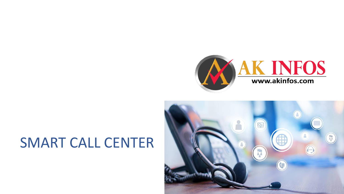

# SMART CALL CENTER

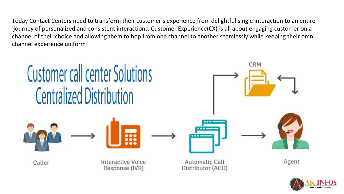Today Contact Centers need to transform their customer's experience from delightful single interaction to an entire journey of personalized and consistent interactions. Customer Experience(CX) is all about engaging customer on a channel of their choice and allowing them to hop from one channel to another seamlessly while keeping their omni channel experience uniform



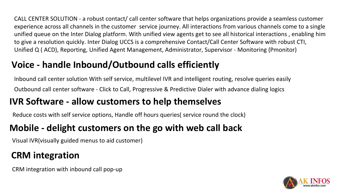CALL CENTER SOLUTION - a robust contact/ call center software that helps organizations provide a seamless customer experience across all channels in the customer service journey. All interactions from various channels come to a single unified queue on the Inter Dialog platform. With unified view agents get to see all historical interactions , enabling him to give a resolution quickly. Inter Dialog UCCS is a comprehensive Contact/Call Center Software with robust CTI, Unified Q ( ACD), Reporting, Unified Agent Management, Administrator, Supervisor - Monitoring (Pmonitor)

## **Voice - handle Inbound/Outbound calls efficiently**

Inbound call center solution With self service, multilevel IVR and intelligent routing, resolve queries easily Outbound call center software - Click to Call, Progressive & Predictive Dialer with advance dialing logics

# **IVR Software - allow customers to help themselves**

Reduce costs with self service options, Handle off hours queries( service round the clock)

## **Mobile - delight customers on the go with web call back**

Visual IVR(visually guided menus to aid customer)

# **CRM integration**

CRM integration with inbound call pop-up

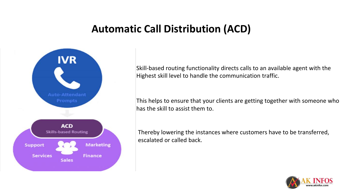# **Automatic Call Distribution (ACD)**



Skill-based routing functionality directs calls to an available agent with the Highest skill level to handle the communication traffic.

This helps to ensure that your clients are getting together with someone who has the skill to assist them to.

Thereby lowering the instances where customers have to be transferred, escalated or called back.

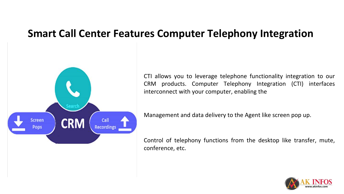## **Smart Call Center Features Computer Telephony Integration**

CTI allows you to leverage telephone functionality integration to our CRM products. Computer Telephony Integration (CTI) interfaces interconnect with your computer, enabling the



Management and data delivery to the Agent like screen pop up.

Control of telephony functions from the desktop like transfer, mute, conference, etc.

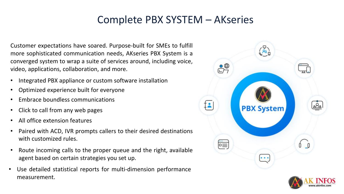# Complete PBX SYSTEM – AKseries

Customer expectations have soared. Purpose-built for SMEs to fulfill more sophisticated communication needs, AKseries PBX System is a converged system to wrap a suite of services around, including voice, video, applications, collaboration, and more.

- Integrated PBX appliance or custom software installation
- Optimized experience built for everyone
- Embrace boundless communications
- Click to call from any web pages
- All office extension features
- Paired with ACD, IVR prompts callers to their desired destinations with customized rules.
- Route incoming calls to the proper queue and the right, available agent based on certain strategies you set up.
- Use detailed statistical reports for multi-dimension performance measurement.



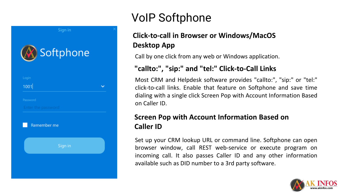

# VoIP Softphone

### **Click-to-call in Browser or Windows/MacOS Desktop App**

Call by one click from any web or Windows application.

### **"callto:", "sip:" and "tel:" Click-to-Call Links**

Most CRM and Helpdesk software provides "callto:", "sip:" or "tel:" click-to-call links. Enable that feature on Softphone and save time dialing with a single click Screen Pop with Account Information Based on Caller ID.

### **Screen Pop with Account Information Based on Caller ID**

Set up your CRM lookup URL or command line. Softphone can open browser window, call REST web-service or execute program on incoming call. It also passes Caller ID and any other information available such as DID number to a 3rd party software.

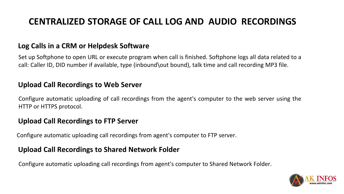### **CENTRALIZED STORAGE OF CALL LOG AND AUDIO RECORDINGS**

### **Log Calls in a CRM or Helpdesk Software**

Set up Softphone to open URL or execute program when call is finished. Softphone logs all data related to a call: Caller ID, DID number if available, type (inbound\out bound), talk time and call recording MP3 file.

#### **Upload Call Recordings to Web Server**

Configure automatic uploading of call recordings from the agent's computer to the web server using the HTTP or HTTPS protocol.

#### **Upload Call Recordings to FTP Server**

Configure automatic uploading call recordings from agent's computer to FTP server.

### **Upload Call Recordings to Shared Network Folder**

Configure automatic uploading call recordings from agent's computer to Shared Network Folder.

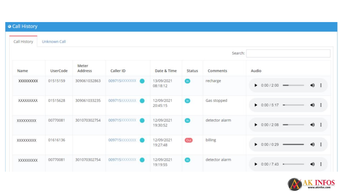| Call History | Unknown Call |                  |                   |                        |               |                |                                              |
|--------------|--------------|------------------|-------------------|------------------------|---------------|----------------|----------------------------------------------|
|              |              |                  |                   |                        |               |                |                                              |
| Name         | UserCode     | Meter<br>Address | Caller ID         | Date & Time            | <b>Status</b> | Comments       | Audio                                        |
| XXXXXXXXX    | 01515159     | 309061032863     | 009715XXXXXXX (O  | 13/09/2021<br>08:18:12 | G             | recharge       | $\rightarrow$ :<br>$\bullet$ 0:00 / 2:00     |
| XXXXXXXXX    | 01515628     | 309061033235     | 009715XXXXXXX O   | 12/09/2021<br>20:45:15 | G.            | Gas stopped    | $\bullet$ 0:00 / 5:17 =<br>$\bigoplus$ :     |
| XXXXXXXXX    | 00770081     | 301070302754     | 009715XXXXXXX (   | 12/09/2021<br>19:30:52 | G.            | detector alarm | $\rightarrow$ :<br>$\bullet$ 0:00 / 2:08 -   |
| XXXXXXXXX    | 01616136     |                  | 009715XXXXXXX O   | 12/09/2021<br>19:27:48 | <b>Out</b>    | billing        | $\bullet$ 0:00 / 0:29<br>49 :                |
| XXXXXXXXX    | 00770081     | 301070302754     | 009715XXXXXXX (C) | 12/09/2021<br>19:19:55 | G             | detector alarm | +0 :<br>$\triangleright$ 0:00 / 7:43 $\cdot$ |